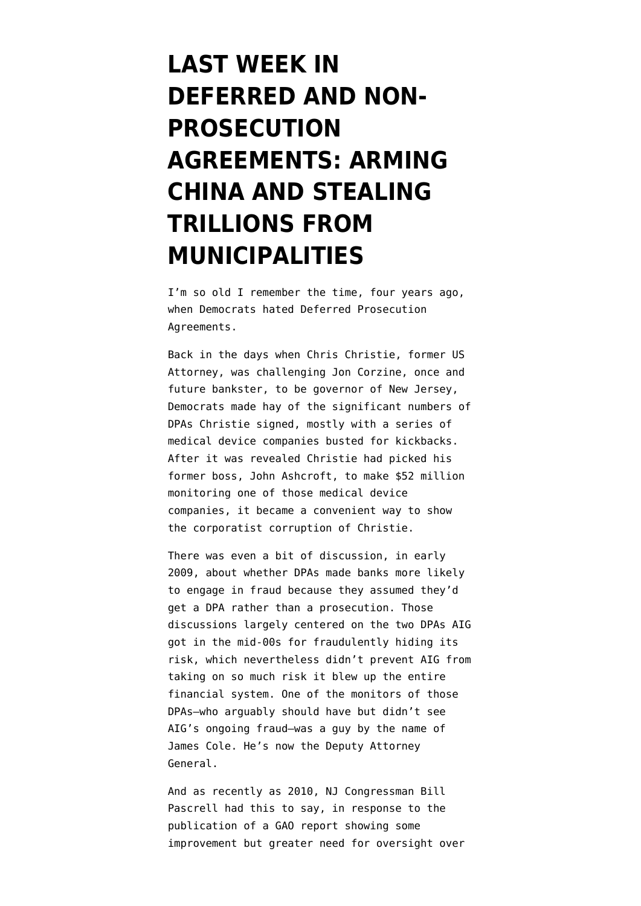## **[LAST WEEK IN](https://www.emptywheel.net/2012/07/02/last-week-in-deferred-prosecution-agreements-arming-china-and-stealing-trillions-from-municipalities/) [DEFERRED AND NON-](https://www.emptywheel.net/2012/07/02/last-week-in-deferred-prosecution-agreements-arming-china-and-stealing-trillions-from-municipalities/)[PROSECUTION](https://www.emptywheel.net/2012/07/02/last-week-in-deferred-prosecution-agreements-arming-china-and-stealing-trillions-from-municipalities/) [AGREEMENTS: ARMING](https://www.emptywheel.net/2012/07/02/last-week-in-deferred-prosecution-agreements-arming-china-and-stealing-trillions-from-municipalities/) [CHINA AND STEALING](https://www.emptywheel.net/2012/07/02/last-week-in-deferred-prosecution-agreements-arming-china-and-stealing-trillions-from-municipalities/) [TRILLIONS FROM](https://www.emptywheel.net/2012/07/02/last-week-in-deferred-prosecution-agreements-arming-china-and-stealing-trillions-from-municipalities/) [MUNICIPALITIES](https://www.emptywheel.net/2012/07/02/last-week-in-deferred-prosecution-agreements-arming-china-and-stealing-trillions-from-municipalities/)**

I'm so old I remember the time, four years ago, when Democrats hated Deferred Prosecution Agreements.

Back in the days when Chris Christie, former US Attorney, was challenging Jon Corzine, once and future bankster, to be governor of New Jersey, Democrats made hay of the significant numbers of DPAs Christie signed, mostly with a series of medical device companies busted for kickbacks. After it was revealed Christie had picked his former boss, John Ashcroft, [to make \\$52 million](http://archive.truthout.org/article/justice-department-awards-ashcroft-52-million-contract) monitoring one of those medical device companies, it became a convenient way to show the corporatist corruption of Christie.

There was even a bit of discussion, in early 2009, about [whether DPAs made banks more likely](http://www.emptywheel.net/2009/03/27/deferred-prosecution-agreements-and-aig/) [to engage in fraud](http://www.emptywheel.net/2009/03/27/deferred-prosecution-agreements-and-aig/) because they assumed they'd get a DPA rather than a prosecution. Those discussions largely centered on the two DPAs AIG got in the mid-00s for fraudulently hiding its risk, which nevertheless didn't prevent AIG from taking on so much risk it blew up the entire financial system. One of the monitors of those DPAs–who arguably should have but didn't see AIG's ongoing fraud–was a guy by the name of James Cole. He's now the Deputy Attorney General.

And as recently as 2010, NJ Congressman Bill Pascrell [had this to say,](http://judiciary.house.gov/news/100108.html) in response to the publication of a [GAO report](http://judiciary.house.gov/hearings/pdf/0912GAOReport.pdf) showing some improvement but greater need for oversight over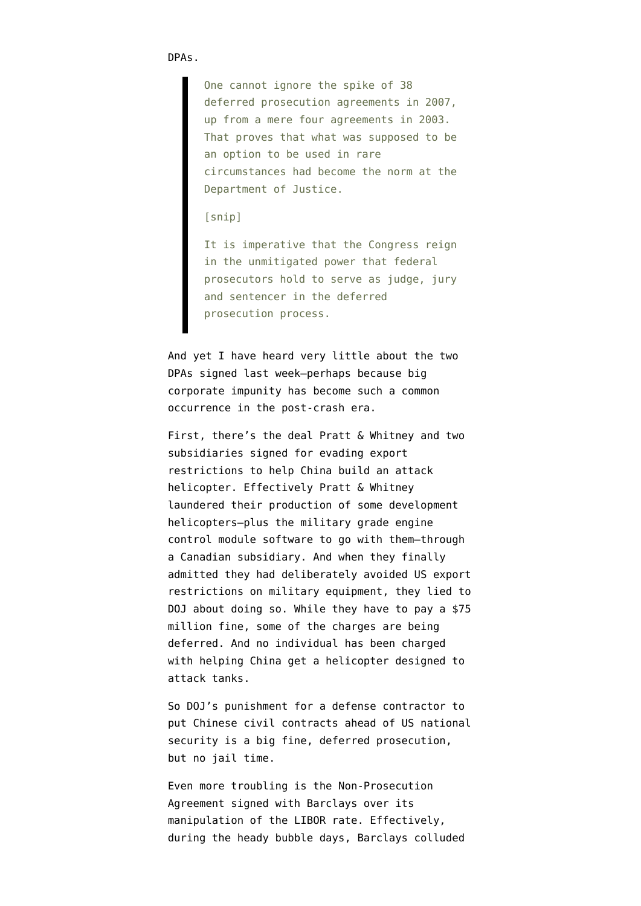DPAs.

One cannot ignore the spike of 38 deferred prosecution agreements in 2007, up from a mere four agreements in 2003. That proves that what was supposed to be an option to be used in rare circumstances had become the norm at the Department of Justice.

[snip]

It is imperative that the Congress reign in the unmitigated power that federal prosecutors hold to serve as judge, jury and sentencer in the deferred prosecution process.

And yet I have heard very little about the two DPAs signed last week–perhaps because big corporate impunity has become such a common occurrence in the post-crash era.

First, there's [the deal](http://www.justice.gov/usao/ct/Press2012/20120628.html) Pratt & Whitney and two subsidiaries signed for evading export restrictions to help China build an attack helicopter. Effectively Pratt & Whitney laundered their production of some development helicopters–plus the military grade engine control module software to go with them–through a Canadian subsidiary. And when they finally admitted they had deliberately avoided US export restrictions on military equipment, they lied to DOJ about doing so. While they have to pay a \$75 million fine, some of the charges are being deferred. And no individual has been charged with helping China get a helicopter designed to attack tanks.

So DOJ's punishment for a defense contractor to put Chinese civil contracts ahead of US national security is a big fine, deferred prosecution, but no jail time.

Even more troubling is the Non-Prosecution Agreement [signed with Barclays](http://www.justice.gov/opa/pr/2012/June/12-crm-815.html) over its manipulation of the LIBOR rate. Effectively, during the heady bubble days, Barclays colluded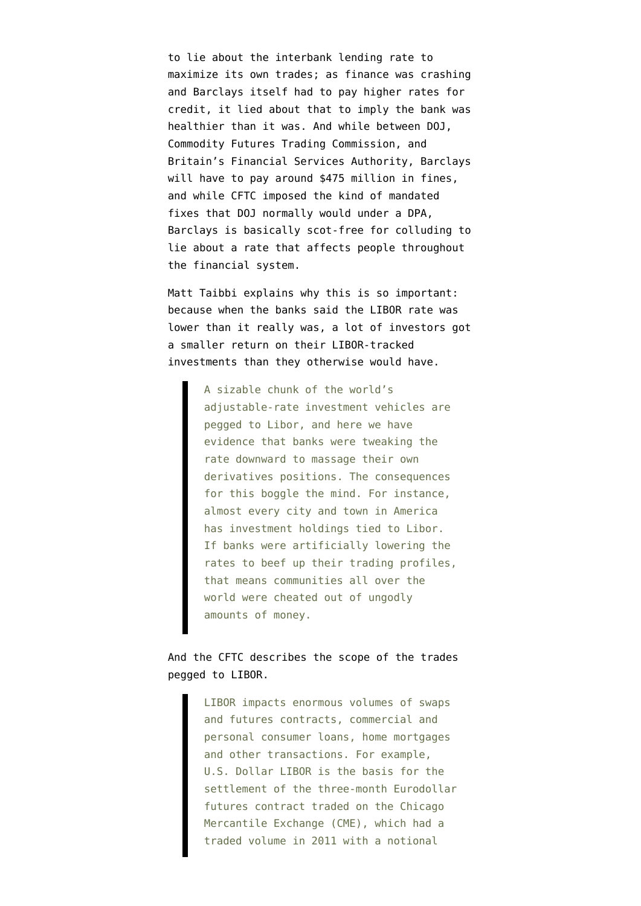to lie about the interbank lending rate to maximize its own trades; as finance was crashing and Barclays itself had to pay higher rates for credit, it lied about that to imply the bank was healthier than it was. And while between DOJ, Commodity Futures Trading Commission, and Britain's Financial Services Authority, Barclays will have to pay around \$475 million in fines, and while CFTC imposed the kind of mandated fixes that DOJ normally would under a DPA, Barclays is basically scot-free for colluding to lie about a rate that affects people throughout the financial system.

Matt Taibbi [explains](http://www.rollingstone.com/politics/blogs/taibblog/a-huge-break-in-the-libor-banking-investigation-20120628) why this is so important: because when the banks said the LIBOR rate was lower than it really was, a lot of investors got a smaller return on their LIBOR-tracked investments than they otherwise would have.

> A sizable chunk of the world's adjustable-rate investment vehicles are pegged to Libor, and here we have evidence that banks were tweaking the rate downward to massage their own derivatives positions. The consequences for this boggle the mind. For instance, almost every city and town in America has investment holdings tied to Libor. If banks were artificially lowering the rates to beef up their trading profiles, that means communities all over the world were cheated out of ungodly amounts of money.

## And the CFTC [describes](http://www.cftc.gov/PressRoom/PressReleases/pr6289-12) the scope of the trades pegged to LIBOR.

LIBOR impacts enormous volumes of swaps and futures contracts, commercial and personal consumer loans, home mortgages and other transactions. For example, U.S. Dollar LIBOR is the basis for the settlement of the three-month Eurodollar futures contract traded on the Chicago Mercantile Exchange (CME), which had a traded volume in 2011 with a notional